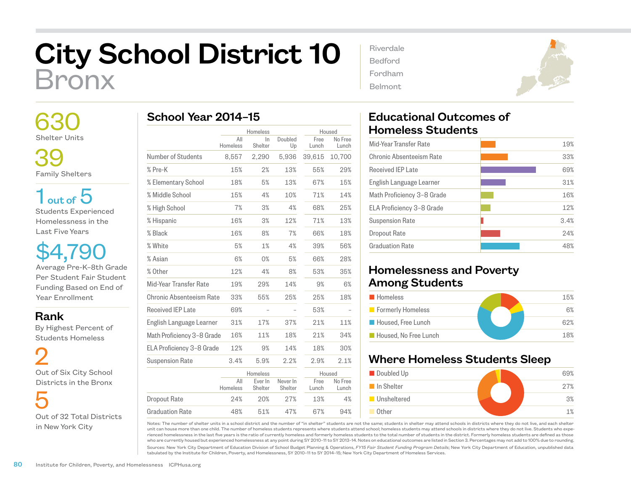## City School District 10 Bronx

 630 Shelter Units

 39 Family Shelters

 $1<sub>out of</sub> 5$ Students Experienced Homelessness in the Last Five Years

\$4,790 Average Pre-K–8th Grade Per Student Fair Student Funding Based on End of Year Enrollment

Rank

 By Highest Percent of Students Homeless

 2 Out of Six City School Districts in the Bronx

 5 Out of 32 Total Districts in New York City

| School Year 2014-15 |  |  |
|---------------------|--|--|
|---------------------|--|--|

|                            | Homeless        |                    | Housed              |               |                  |
|----------------------------|-----------------|--------------------|---------------------|---------------|------------------|
|                            | All<br>Homeless | ln.<br>Shelter     | Doubled<br>Up       | Free<br>Lunch | No Free<br>Lunch |
| Number of Students         | 8,557           | 2,290              | 5,936               | 39.615        | 10,700           |
| % Pre-K                    | 15%             | 2%                 | 13%                 | 55%           | 29%              |
| % Elementary School        | 18%             | 5%                 | 13%                 | 67%           | 15%              |
| % Middle School            | 15%             | 4%                 | 10%                 | 71%           | 14%              |
| % High School              | 7%              | 3%                 | 4%                  | 68%           | 25%              |
| % Hispanic                 | 16%             | 3%                 | 12%                 | 71%           | 13%              |
| % Black                    | 16%             | 8%                 | 7%                  | 66%           | 18%              |
| % White                    | 5%              | 1%                 | 4%                  | 39%           | 56%              |
| % Asian                    | 6%              | 0%                 | 5%                  | 66%           | 28%              |
| % Other                    | 12%             | 4%                 | 8%                  | 53%           | 35%              |
| Mid-Year Transfer Rate     | 19%             | 29%                | 14%                 | 9%            | 6%               |
| Chronic Absenteeism Rate   | 33%             | 55%                | 25%                 | 25%           | 18%              |
| Received IEP Late          | 69%             |                    |                     | 53%           |                  |
| English Language Learner   | 31%             | 17%                | 37%                 | 21%           | 11%              |
| Math Proficiency 3-8 Grade | 16%             | 11%                | 18%                 | 21%           | 34%              |
| ELA Proficiency 3-8 Grade  | 12%             | 9%                 | 14%                 | 18%           | 30%              |
| <b>Suspension Rate</b>     | 3.4%            | 5.9%               | 2.2%                | 2.9%          | 2.1%             |
|                            | Homeless        |                    |                     | Housed        |                  |
|                            | All<br>Homeless | Ever In<br>Shelter | Never In<br>Shelter | Free<br>Lunch | No Free<br>Lunch |
| <b>Dropout Rate</b>        | 24%             | 20%                | 27%                 | 13%           | 4%               |
| <b>Graduation Rate</b>     | 48%             | 51%                | 47%                 | 67%           | 94%              |

| Riverdale |  |
|-----------|--|
| Bedford   |  |
| Fordham   |  |
| Belmont   |  |



## Educational Outcomes of Homeless Students

| Mid-Year Transfer Rate     | 19%  |
|----------------------------|------|
| Chronic Absenteeism Rate   | 33%  |
| Received IFP Late          | 69%  |
| English Language Learner   | 31%  |
| Math Proficiency 3-8 Grade | 16%  |
| ELA Proficiency 3-8 Grade  | 12%  |
| <b>Suspension Rate</b>     | 3.4% |
| Dropout Rate               | 24%  |
| <b>Graduation Rate</b>     | 48%  |
|                            |      |

## Homelessness and Poverty Among Students

| <b>Homeless</b>       | 15% |
|-----------------------|-----|
| Formerly Homeless     | 6%  |
| Housed, Free Lunch    | 62% |
| Housed, No Free Lunch | 18% |

## Where Homeless Students Sleep



Notes: The number of shelter units in a school district and the number of "in shelter" students are not the same; students in shelter may attend schools in districts where they do not live, and each shelter unit can house more than one child. The number of homeless students represents where students attend school; homeless students may attend schools in districts where they do not live. Students who experienced homelessness in the last five years is the ratio of currently homeless and formerly homeless students to the total number of students in the district. Formerly homeless students are defined as those who are currently housed but experienced homelessness at any point during SY 2010–11 to SY 2013–14. Notes on educational outcomes are listed in Section 3. Percentages may not add to 100% due to rounding.

Sources: New York City Department of Education Division of School Budget Planning & Operations, *FY15 Fair Student Funding Program Details*; New York City Department of Education, unpublished data tabulated by the Institute for Children, Poverty, and Homelessness, SY 2010–11 to SY 2014–15; New York City Department of Homeless Services.